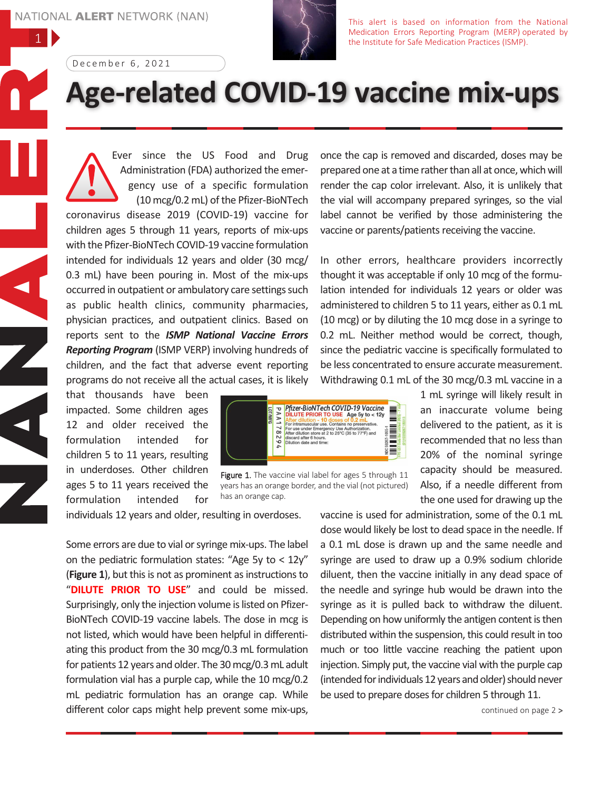1



This alert is based on information from the National Medication Errors Reporting Program (MERP) operated by the Institute for Safe Medication Practices (ISMP).

December 6, 2021

## **Age-related COVID-19 vaccine mix-ups**

Ever since the US Food and Drug Administration (FDA) authorized the emergency use of a specific formulation (10 mcg/0.2 mL) of the Pfizer-BioNTech coronavirus disease 2019 (COVID-19) vaccine for children ages 5 through 11 years, reports of mix-ups with the Pfizer-BioNTech COVID-19 vaccine formulation intended for individuals 12 years and older (30 mcg/ 0.3 mL) have been pouring in. Most of the mix-ups occurred in outpatient or ambulatory care settings such as public health clinics, community pharmacies, physician practices, and outpatient clinics. Based on reports sent to the *ISMP National Vaccine Errors Reporting Program* (ISMP VERP) involving hundreds of children, and the fact that adverse event reporting programs do not receive all the actual cases, it is likely

that thousands have been impacted. Some children ages 12 and older received the formulation intended for children 5 to 11 years, resulting in underdoses. Other children ages 5 to 11 years received the formulation intended for

Phzer-BioNTech COVID-19 Vaccine<br>  $\geq$  DILUTE PRIOR TO USE Age 5y to < 12y<br>
After dilution and doesn't both one with the prior of the prior distribution<br>  $\geq$  After dilution store at 2 to 25°C (35 to 77°F) and<br>  $\geq$  DI E) WFG <u>E</u>  $\S \equiv \S$ 

Figure 1. The vaccine vial label for ages 5 through 11 years has an orange border, and the vial (not pictured) has an orange cap.

individuals 12 years and older, resulting in overdoses.

Some errors are due to vial or syringe mix-ups. The label on the pediatric formulation states: "Age 5y to < 12y" (**Figure** 1), but this is not as prominent as instructions to "**DILUTE PRIOR TO USE**" and could be missed. Surprisingly, only the injection volume is listed on Pfizer-BioNTech COVID-19 vaccine labels. The dose in mcg is not listed, which would have been helpful in differentiating this product from the 30 mcg/0.3 mL formulation for patients 12 years and older. The 30mcg/0.3mL adult formulation vial has a purple cap, while the 10 mcg/0.2 mL pediatric formulation has an orange cap. While different color caps might help prevent some mix-ups,

once the cap is removed and discarded, doses may be prepared one at a time rather than all at once, which will render the cap color irrelevant. Also, it is unlikely that the vial will accompany prepared syringes, so the vial label cannot be verified by those administering the vaccine or parents/patients receiving the vaccine.

In other errors, healthcare providers incorrectly thought it was acceptable if only 10 mcg of the formulation intended for individuals 12 years or older was administered to children 5 to 11 years, either as 0.1 mL (10 mcg) or by diluting the 10 mcg dose in a syringe to 0.2 mL. Neither method would be correct, though, since the pediatric vaccine is specifically formulated to be less concentrated to ensure accurate measurement. Withdrawing 0.1 mL of the 30 mcg/0.3 mL vaccine in a

> 1 mL syringe will likely result in an inaccurate volume being delivered to the patient, as it is recommended that no less than 20% of the nominal syringe capacity should be measured. Also, if a needle different from the one used for drawing up the

vaccine is used for administration, some of the 0.1 mL dose would likely be lost to dead space in the needle. If a 0.1 mL dose is drawn up and the same needle and syringe are used to draw up a 0.9% sodium chloride diluent, then the vaccine initially in any dead space of the needle and syringe hub would be drawn into the syringe as it is pulled back to withdraw the diluent. Depending on how uniformly the antigen content is then distributed within the suspension, this could result in too much or too little vaccine reaching the patient upon injection. Simply put, the vaccine vial with the purple cap (intended for individuals 12 years and older) should never be used to prepare doses for children 5 through 11.